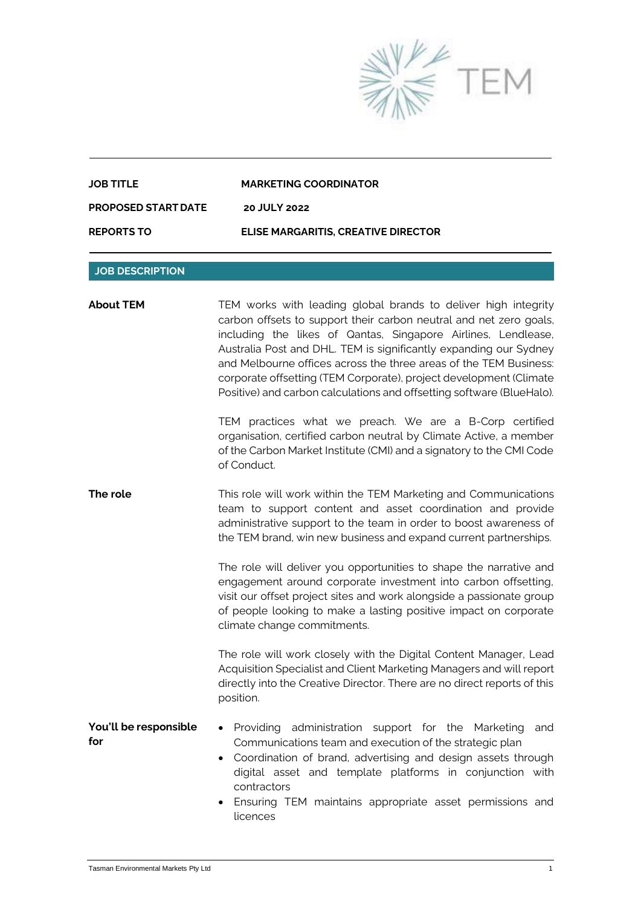

| <b>REPORTS TO</b>          | ELISE MARGARITIS, CREATIVE DIRECTOR |
|----------------------------|-------------------------------------|
| <b>PROPOSED START DATE</b> | <b>20 JULY 2022</b>                 |
| <b>JOB TITLE</b>           | <b>MARKETING COORDINATOR</b>        |

## **JOB DESCRIPTION**

| <b>About TEM</b>             | TEM works with leading global brands to deliver high integrity<br>carbon offsets to support their carbon neutral and net zero goals,<br>including the likes of Qantas, Singapore Airlines, Lendlease,<br>Australia Post and DHL. TEM is significantly expanding our Sydney<br>and Melbourne offices across the three areas of the TEM Business:<br>corporate offsetting (TEM Corporate), project development (Climate<br>Positive) and carbon calculations and offsetting software (BlueHalo).<br>TEM practices what we preach. We are a B-Corp certified |
|------------------------------|-----------------------------------------------------------------------------------------------------------------------------------------------------------------------------------------------------------------------------------------------------------------------------------------------------------------------------------------------------------------------------------------------------------------------------------------------------------------------------------------------------------------------------------------------------------|
|                              | organisation, certified carbon neutral by Climate Active, a member<br>of the Carbon Market Institute (CMI) and a signatory to the CMI Code<br>of Conduct.                                                                                                                                                                                                                                                                                                                                                                                                 |
| The role                     | This role will work within the TEM Marketing and Communications<br>team to support content and asset coordination and provide<br>administrative support to the team in order to boost awareness of<br>the TEM brand, win new business and expand current partnerships.                                                                                                                                                                                                                                                                                    |
|                              | The role will deliver you opportunities to shape the narrative and<br>engagement around corporate investment into carbon offsetting,<br>visit our offset project sites and work alongside a passionate group<br>of people looking to make a lasting positive impact on corporate<br>climate change commitments.                                                                                                                                                                                                                                           |
|                              | The role will work closely with the Digital Content Manager, Lead<br>Acquisition Specialist and Client Marketing Managers and will report<br>directly into the Creative Director. There are no direct reports of this<br>position.                                                                                                                                                                                                                                                                                                                        |
| You'll be responsible<br>for | Providing administration support for the<br>Marketing<br>and<br>$\bullet$<br>Communications team and execution of the strategic plan<br>• Coordination of brand, advertising and design assets through<br>digital asset and template platforms in conjunction with<br>contractors<br>Ensuring TEM maintains appropriate asset permissions and                                                                                                                                                                                                             |
|                              | licences                                                                                                                                                                                                                                                                                                                                                                                                                                                                                                                                                  |